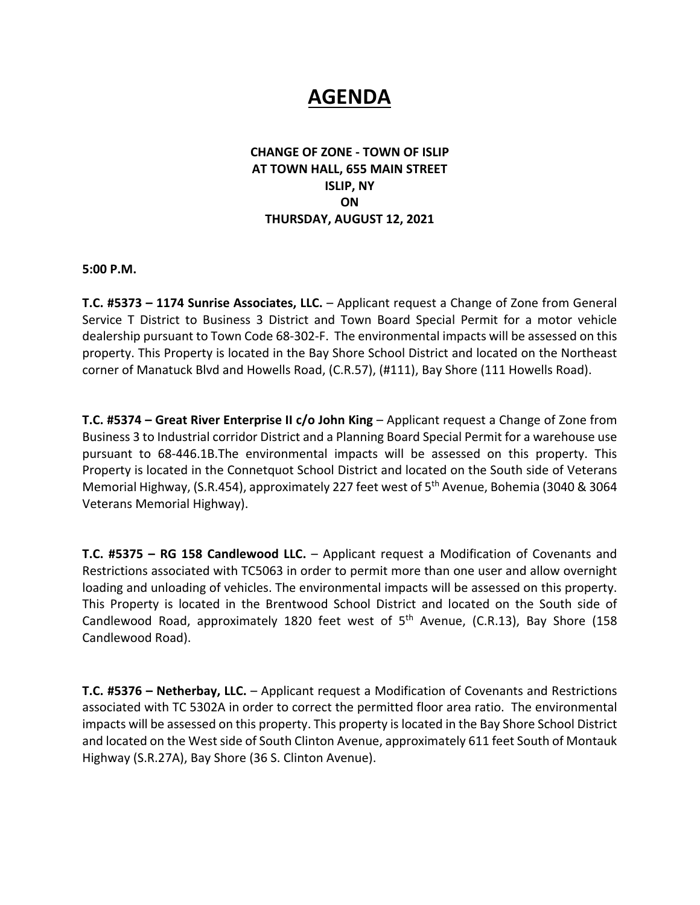# **AGENDA**

#### **CHANGE OF ZONE ‐ TOWN OF ISLIP AT TOWN HALL, 655 MAIN STREET ISLIP, NY ON THURSDAY, AUGUST 12, 2021**

**5:00 P.M.** 

**T.C. #5373 – 1174 Sunrise Associates, LLC.** – Applicant request a Change of Zone from General Service T District to Business 3 District and Town Board Special Permit for a motor vehicle dealership pursuant to Town Code 68‐302‐F. The environmental impacts will be assessed on this property. This Property is located in the Bay Shore School District and located on the Northeast corner of Manatuck Blvd and Howells Road, (C.R.57), (#111), Bay Shore (111 Howells Road).

**T.C. #5374 – Great River Enterprise II c/o John King** – Applicant request a Change of Zone from Business 3 to Industrial corridor District and a Planning Board Special Permit for a warehouse use pursuant to 68‐446.1B.The environmental impacts will be assessed on this property. This Property is located in the Connetquot School District and located on the South side of Veterans Memorial Highway, (S.R.454), approximately 227 feet west of 5<sup>th</sup> Avenue, Bohemia (3040 & 3064 Veterans Memorial Highway).

**T.C. #5375 – RG 158 Candlewood LLC.** – Applicant request a Modification of Covenants and Restrictions associated with TC5063 in order to permit more than one user and allow overnight loading and unloading of vehicles. The environmental impacts will be assessed on this property. This Property is located in the Brentwood School District and located on the South side of Candlewood Road, approximately 1820 feet west of 5<sup>th</sup> Avenue, (C.R.13), Bay Shore (158 Candlewood Road).

**T.C. #5376 – Netherbay, LLC.** – Applicant request a Modification of Covenants and Restrictions associated with TC 5302A in order to correct the permitted floor area ratio. The environmental impacts will be assessed on this property. This property is located in the Bay Shore School District and located on the West side of South Clinton Avenue, approximately 611 feet South of Montauk Highway (S.R.27A), Bay Shore (36 S. Clinton Avenue).